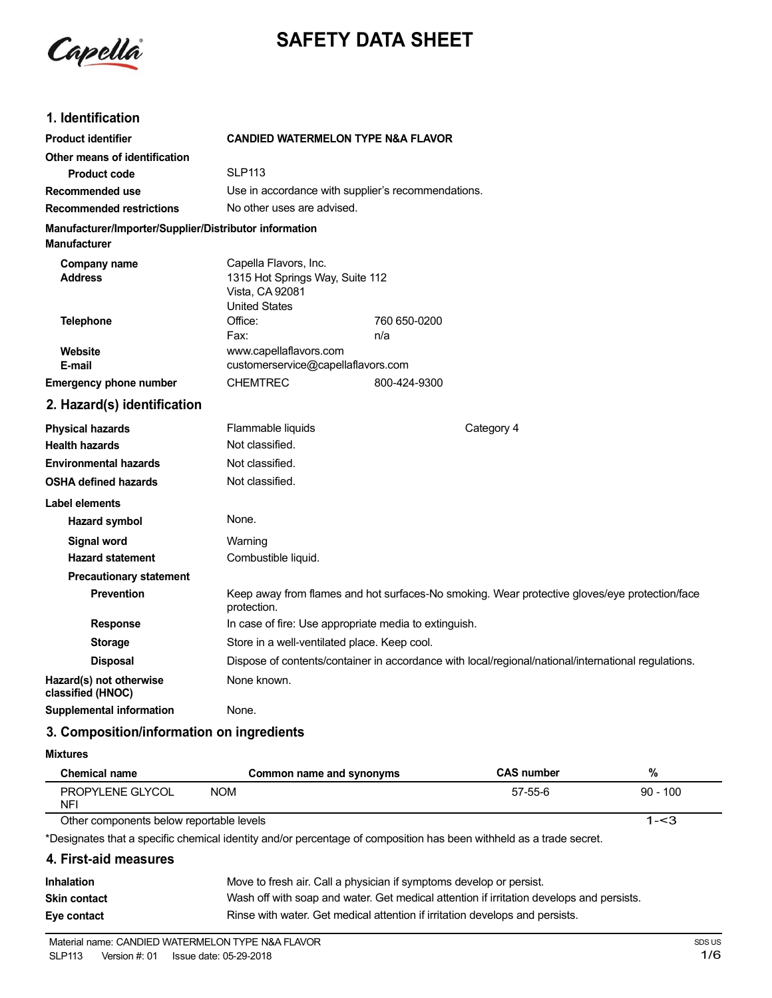

# **SAFETY DATA SHEET**

### **1. Identification**

| <b>Product identifier</b>                                                     | <b>CANDIED WATERMELON TYPE N&amp;A FLAVOR</b>                                                       |              |                                                                                               |
|-------------------------------------------------------------------------------|-----------------------------------------------------------------------------------------------------|--------------|-----------------------------------------------------------------------------------------------|
| Other means of identification                                                 |                                                                                                     |              |                                                                                               |
| <b>Product code</b>                                                           | <b>SLP113</b>                                                                                       |              |                                                                                               |
| Recommended use                                                               | Use in accordance with supplier's recommendations.                                                  |              |                                                                                               |
| <b>Recommended restrictions</b>                                               | No other uses are advised.                                                                          |              |                                                                                               |
| Manufacturer/Importer/Supplier/Distributor information<br><b>Manufacturer</b> |                                                                                                     |              |                                                                                               |
| Company name<br><b>Address</b>                                                | Capella Flavors, Inc.<br>1315 Hot Springs Way, Suite 112<br>Vista, CA 92081<br><b>United States</b> |              |                                                                                               |
| <b>Telephone</b>                                                              | Office:                                                                                             | 760 650-0200 |                                                                                               |
|                                                                               | Fax:                                                                                                | n/a          |                                                                                               |
| Website<br>E-mail                                                             | www.capellaflavors.com<br>customerservice@capellaflavors.com                                        |              |                                                                                               |
| <b>Emergency phone number</b>                                                 | <b>CHEMTREC</b>                                                                                     | 800-424-9300 |                                                                                               |
| 2. Hazard(s) identification                                                   |                                                                                                     |              |                                                                                               |
| <b>Physical hazards</b>                                                       | Flammable liquids                                                                                   |              | Category 4                                                                                    |
| <b>Health hazards</b>                                                         | Not classified.                                                                                     |              |                                                                                               |
| <b>Environmental hazards</b>                                                  | Not classified.                                                                                     |              |                                                                                               |
| <b>OSHA defined hazards</b>                                                   | Not classified.                                                                                     |              |                                                                                               |
| <b>Label elements</b>                                                         |                                                                                                     |              |                                                                                               |
| <b>Hazard symbol</b>                                                          | None.                                                                                               |              |                                                                                               |
| <b>Signal word</b>                                                            | Warning                                                                                             |              |                                                                                               |
| <b>Hazard statement</b>                                                       | Combustible liquid.                                                                                 |              |                                                                                               |
| <b>Precautionary statement</b>                                                |                                                                                                     |              |                                                                                               |
| Prevention                                                                    | protection.                                                                                         |              | Keep away from flames and hot surfaces-No smoking. Wear protective gloves/eye protection/face |
| <b>Response</b>                                                               | In case of fire: Use appropriate media to extinguish.                                               |              |                                                                                               |
| <b>Storage</b>                                                                | Store in a well-ventilated place. Keep cool.                                                        |              |                                                                                               |
| <b>Disposal</b>                                                               | Dispose of contents/container in accordance with local/regional/national/international regulations. |              |                                                                                               |
| Hazard(s) not otherwise<br>classified (HNOC)                                  | None known.                                                                                         |              |                                                                                               |
| <b>Supplemental information</b>                                               | None.                                                                                               |              |                                                                                               |

### **3. Composition/information on ingredients**

**Mixtures**

| <b>Chemical name</b>                     | Common name and synonyms | <b>CAS number</b> | %          |
|------------------------------------------|--------------------------|-------------------|------------|
| PROPYLENE GLYCOL<br><b>NF</b>            | <b>NOM</b>               | 57-55-6           | $90 - 100$ |
| Other components below reportable levels |                          |                   | 1-<3       |

Other components below reportable levels

\*Designates that a specific chemical identity and/or percentage of composition has been withheld as a trade secret.

# **4. First-aid measures**

| <b>Inhalation</b>   | Move to fresh air. Call a physician if symptoms develop or persist.                      |
|---------------------|------------------------------------------------------------------------------------------|
| <b>Skin contact</b> | Wash off with soap and water. Get medical attention if irritation develops and persists. |
| Eye contact         | Rinse with water. Get medical attention if irritation develops and persists.             |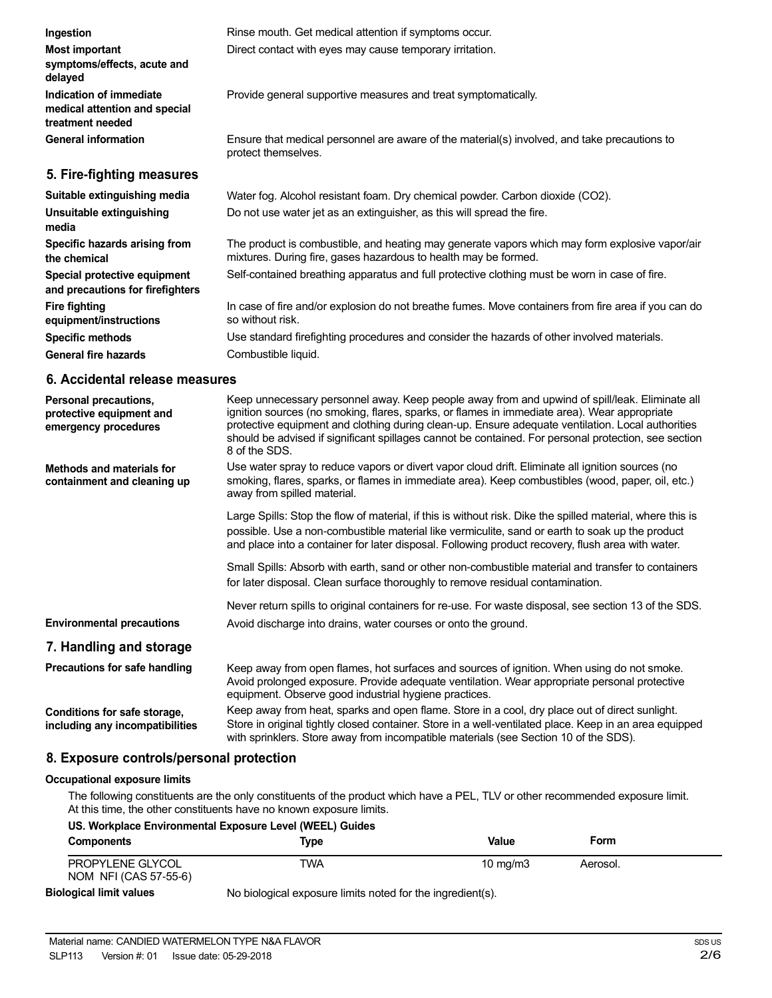| <b>Most important</b><br>symptoms/effects, acute and<br>delayed              | Direct contact with eyes may cause temporary irritation.                                                                                                                                                                                                                                                                                                                                                                     |
|------------------------------------------------------------------------------|------------------------------------------------------------------------------------------------------------------------------------------------------------------------------------------------------------------------------------------------------------------------------------------------------------------------------------------------------------------------------------------------------------------------------|
| Indication of immediate<br>medical attention and special<br>treatment needed | Provide general supportive measures and treat symptomatically.                                                                                                                                                                                                                                                                                                                                                               |
| <b>General information</b>                                                   | Ensure that medical personnel are aware of the material(s) involved, and take precautions to<br>protect themselves.                                                                                                                                                                                                                                                                                                          |
| 5. Fire-fighting measures                                                    |                                                                                                                                                                                                                                                                                                                                                                                                                              |
| Suitable extinguishing media                                                 | Water fog. Alcohol resistant foam. Dry chemical powder. Carbon dioxide (CO2).                                                                                                                                                                                                                                                                                                                                                |
| Unsuitable extinguishing<br>media                                            | Do not use water jet as an extinguisher, as this will spread the fire.                                                                                                                                                                                                                                                                                                                                                       |
| <b>Specific hazards arising from</b><br>the chemical                         | The product is combustible, and heating may generate vapors which may form explosive vapor/air<br>mixtures. During fire, gases hazardous to health may be formed.                                                                                                                                                                                                                                                            |
| Special protective equipment<br>and precautions for firefighters             | Self-contained breathing apparatus and full protective clothing must be worn in case of fire.                                                                                                                                                                                                                                                                                                                                |
| <b>Fire fighting</b><br>equipment/instructions                               | In case of fire and/or explosion do not breathe fumes. Move containers from fire area if you can do<br>so without risk.                                                                                                                                                                                                                                                                                                      |
| <b>Specific methods</b>                                                      | Use standard firefighting procedures and consider the hazards of other involved materials.                                                                                                                                                                                                                                                                                                                                   |
| <b>General fire hazards</b>                                                  | Combustible liquid.                                                                                                                                                                                                                                                                                                                                                                                                          |
| 6. Accidental release measures                                               |                                                                                                                                                                                                                                                                                                                                                                                                                              |
| Personal precautions,<br>protective equipment and<br>emergency procedures    | Keep unnecessary personnel away. Keep people away from and upwind of spill/leak. Eliminate all<br>ignition sources (no smoking, flares, sparks, or flames in immediate area). Wear appropriate<br>protective equipment and clothing during clean-up. Ensure adequate ventilation. Local authorities<br>should be advised if significant spillages cannot be contained. For personal protection, see section<br>8 of the SDS. |
| <b>Methods and materials for</b><br>containment and cleaning up              | Use water spray to reduce vapors or divert vapor cloud drift. Eliminate all ignition sources (no<br>smoking, flares, sparks, or flames in immediate area). Keep combustibles (wood, paper, oil, etc.)<br>away from spilled material.                                                                                                                                                                                         |
|                                                                              | Large Spills: Stop the flow of material, if this is without risk. Dike the spilled material, where this is<br>possible. Use a non-combustible material like vermiculite, sand or earth to soak up the product<br>and place into a container for later disposal. Following product recovery, flush area with water.                                                                                                           |
|                                                                              | Small Spills: Absorb with earth, sand or other non-combustible material and transfer to containers<br>for later disposal. Clean surface thoroughly to remove residual contamination.                                                                                                                                                                                                                                         |
|                                                                              | Never return spills to original containers for re-use. For waste disposal, see section 13 of the SDS.                                                                                                                                                                                                                                                                                                                        |
| <b>Environmental precautions</b>                                             | Avoid discharge into drains, water courses or onto the ground.                                                                                                                                                                                                                                                                                                                                                               |
| 7. Handling and storage                                                      |                                                                                                                                                                                                                                                                                                                                                                                                                              |
| Precautions for safe handling                                                | Keep away from open flames, hot surfaces and sources of ignition. When using do not smoke.<br>Avoid prolonged exposure. Provide adequate ventilation. Wear appropriate personal protective<br>equipment. Observe good industrial hygiene practices.                                                                                                                                                                          |

Rinse mouth. Get medical attention if symptoms occur.

**Conditions for safe storage, including any incompatibilities**

**Ingestion**

Keep away from heat, sparks and open flame. Store in a cool, dry place out of direct sunlight. Store in original tightly closed container. Store in a well-ventilated place. Keep in an area equipped with sprinklers. Store away from incompatible materials (see Section 10 of the SDS).

### **8. Exposure controls/personal protection**

#### **Occupational exposure limits**

The following constituents are the only constituents of the product which have a PEL, TLV or other recommended exposure limit. At this time, the other constituents have no known exposure limits.

| US. Workplace Environmental Exposure Level (WEEL) Guides |                                                            |            |          |  |
|----------------------------------------------------------|------------------------------------------------------------|------------|----------|--|
| <b>Components</b>                                        | Tvpe                                                       | Value      | Form     |  |
| PROPYLENE GLYCOL<br>NOM NFI (CAS 57-55-6)                | TWA                                                        | 10 $mq/m3$ | Aerosol. |  |
| <b>Biological limit values</b>                           | No biological exposure limits noted for the ingredient(s). |            |          |  |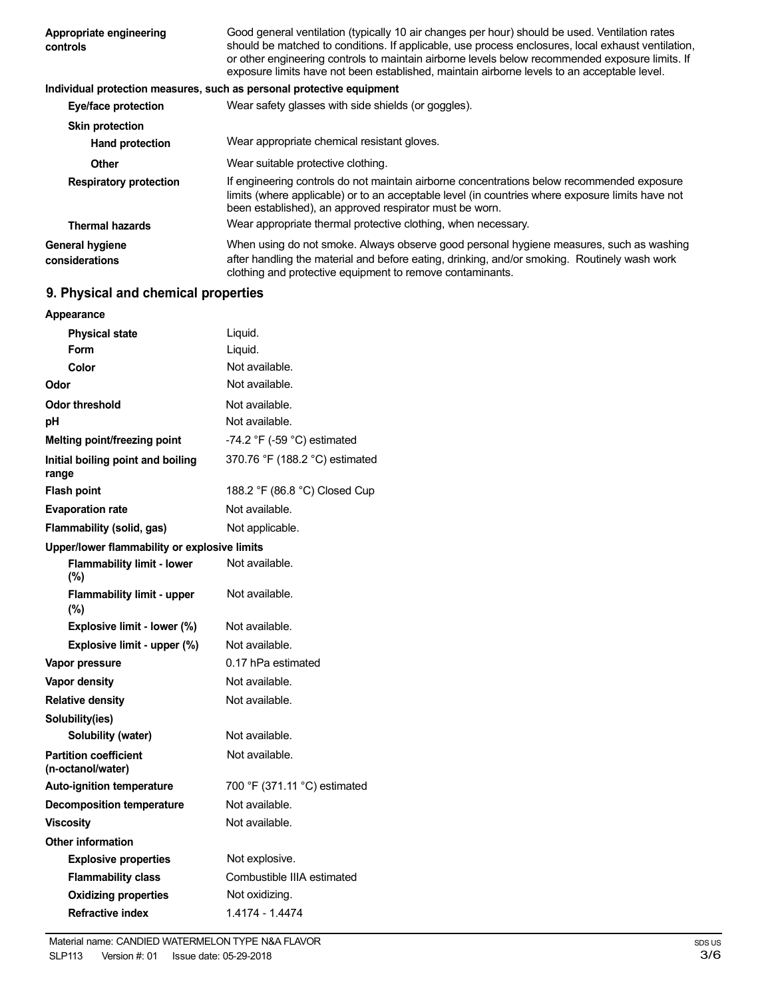| Appropriate engineering<br>controls | Good general ventilation (typically 10 air changes per hour) should be used. Ventilation rates<br>should be matched to conditions. If applicable, use process enclosures, local exhaust ventilation,<br>or other engineering controls to maintain airborne levels below recommended exposure limits. If<br>exposure limits have not been established, maintain airborne levels to an acceptable level. |
|-------------------------------------|--------------------------------------------------------------------------------------------------------------------------------------------------------------------------------------------------------------------------------------------------------------------------------------------------------------------------------------------------------------------------------------------------------|
|                                     | Individual protection measures, such as personal protective equipment                                                                                                                                                                                                                                                                                                                                  |
| Eye/face protection                 | Wear safety glasses with side shields (or goggles).                                                                                                                                                                                                                                                                                                                                                    |
| <b>Skin protection</b>              |                                                                                                                                                                                                                                                                                                                                                                                                        |
| <b>Hand protection</b>              | Wear appropriate chemical resistant gloves.                                                                                                                                                                                                                                                                                                                                                            |
| Other                               | Wear suitable protective clothing.                                                                                                                                                                                                                                                                                                                                                                     |
| <b>Respiratory protection</b>       | If engineering controls do not maintain airborne concentrations below recommended exposure<br>limits (where applicable) or to an acceptable level (in countries where exposure limits have not<br>been established), an approved respirator must be worn.                                                                                                                                              |
| <b>Thermal hazards</b>              | Wear appropriate thermal protective clothing, when necessary.                                                                                                                                                                                                                                                                                                                                          |
| General hygiene<br>considerations   | When using do not smoke. Always observe good personal hygiene measures, such as washing<br>after handling the material and before eating, drinking, and/or smoking. Routinely wash work<br>clothing and protective equipment to remove contaminants.                                                                                                                                                   |

# **9. Physical and chemical properties**

| Appearance                                        |                                               |
|---------------------------------------------------|-----------------------------------------------|
| <b>Physical state</b>                             | Liquid.                                       |
| Form                                              | Liquid.                                       |
| Color                                             | Not available.                                |
| Odor                                              | Not available.                                |
| Odor threshold                                    | Not available.                                |
| рH                                                | Not available.                                |
| <b>Melting point/freezing point</b>               | -74.2 $\degree$ F (-59 $\degree$ C) estimated |
| Initial boiling point and boiling<br>range        | 370.76 °F (188.2 °C) estimated                |
| <b>Flash point</b>                                | 188.2 °F (86.8 °C) Closed Cup                 |
| <b>Evaporation rate</b>                           | Not available.                                |
| Flammability (solid, gas)                         | Not applicable.                               |
| Upper/lower flammability or explosive limits      |                                               |
| <b>Flammability limit - lower</b><br>(%)          | Not available.                                |
| <b>Flammability limit - upper</b><br>$(\%)$       | Not available.                                |
| Explosive limit - lower (%)                       | Not available.                                |
|                                                   |                                               |
| Explosive limit - upper (%)                       | Not available.                                |
| Vapor pressure                                    | 0.17 hPa estimated                            |
| Vapor density                                     | Not available.                                |
| <b>Relative density</b>                           | Not available.                                |
| Solubility(ies)                                   |                                               |
| Solubility (water)                                | Not available.                                |
| <b>Partition coefficient</b><br>(n-octanol/water) | Not available.                                |
| <b>Auto-ignition temperature</b>                  | 700 °F (371.11 °C) estimated                  |
| <b>Decomposition temperature</b>                  | Not available.                                |
| <b>Viscosity</b>                                  | Not available.                                |
| <b>Other information</b>                          |                                               |
| <b>Explosive properties</b>                       | Not explosive.                                |
| <b>Flammability class</b>                         | Combustible IIIA estimated                    |
| <b>Oxidizing properties</b>                       | Not oxidizing.                                |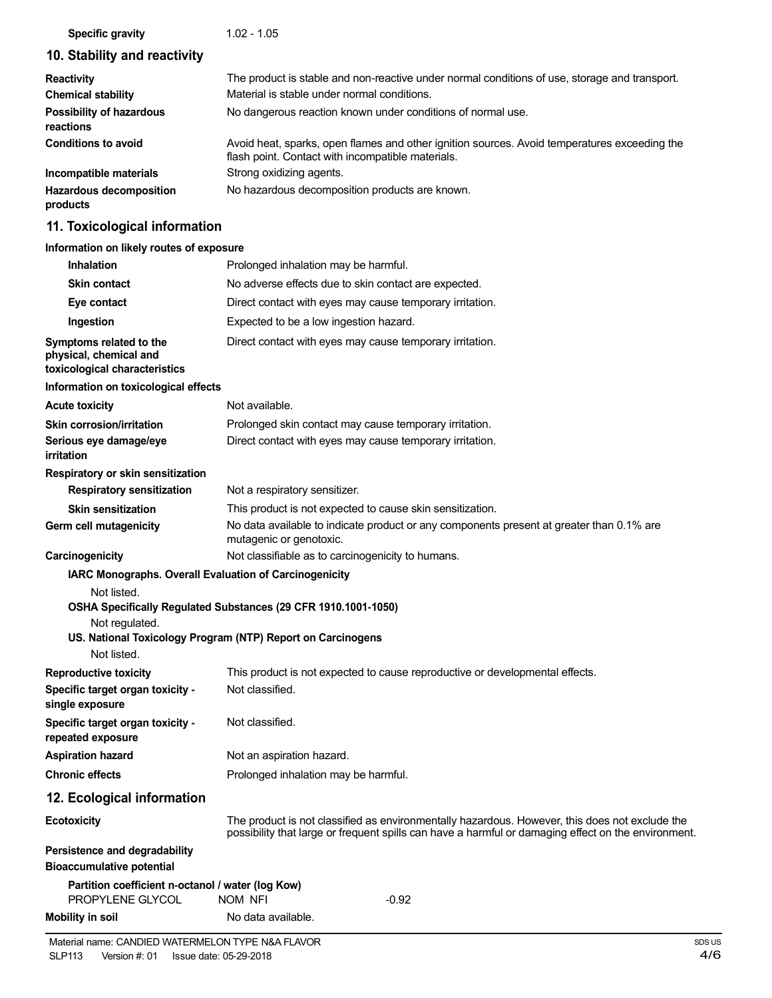#### **Specific gravity** 1.02 - 1.05

# **10. Stability and reactivity**

| <b>Reactivity</b>                            | The product is stable and non-reactive under normal conditions of use, storage and transport.                                                     |
|----------------------------------------------|---------------------------------------------------------------------------------------------------------------------------------------------------|
| <b>Chemical stability</b>                    | Material is stable under normal conditions.                                                                                                       |
| <b>Possibility of hazardous</b><br>reactions | No dangerous reaction known under conditions of normal use.                                                                                       |
| <b>Conditions to avoid</b>                   | Avoid heat, sparks, open flames and other ignition sources. Avoid temperatures exceeding the<br>flash point. Contact with incompatible materials. |
| Incompatible materials                       | Strong oxidizing agents.                                                                                                                          |
| <b>Hazardous decomposition</b><br>products   | No hazardous decomposition products are known.                                                                                                    |

# **11. Toxicological information**

#### **Information on likely routes of exposure**

| <b>Inhalation</b>                                                                                      | Prolonged inhalation may be harmful.                                                                                                                                                                  |
|--------------------------------------------------------------------------------------------------------|-------------------------------------------------------------------------------------------------------------------------------------------------------------------------------------------------------|
| <b>Skin contact</b>                                                                                    | No adverse effects due to skin contact are expected.                                                                                                                                                  |
| Eye contact                                                                                            | Direct contact with eyes may cause temporary irritation.                                                                                                                                              |
| Ingestion                                                                                              | Expected to be a low ingestion hazard.                                                                                                                                                                |
| Symptoms related to the<br>physical, chemical and<br>toxicological characteristics                     | Direct contact with eyes may cause temporary irritation.                                                                                                                                              |
| Information on toxicological effects                                                                   |                                                                                                                                                                                                       |
| <b>Acute toxicity</b>                                                                                  | Not available.                                                                                                                                                                                        |
| Skin corrosion/irritation                                                                              | Prolonged skin contact may cause temporary irritation.                                                                                                                                                |
| Serious eye damage/eye<br>irritation                                                                   | Direct contact with eyes may cause temporary irritation.                                                                                                                                              |
| Respiratory or skin sensitization                                                                      |                                                                                                                                                                                                       |
| <b>Respiratory sensitization</b>                                                                       | Not a respiratory sensitizer.                                                                                                                                                                         |
| <b>Skin sensitization</b>                                                                              | This product is not expected to cause skin sensitization.                                                                                                                                             |
| Germ cell mutagenicity                                                                                 | No data available to indicate product or any components present at greater than 0.1% are<br>mutagenic or genotoxic.                                                                                   |
| Carcinogenicity                                                                                        | Not classifiable as to carcinogenicity to humans.                                                                                                                                                     |
| IARC Monographs. Overall Evaluation of Carcinogenicity<br>Not listed.<br>Not regulated.<br>Not listed. | OSHA Specifically Regulated Substances (29 CFR 1910.1001-1050)<br>US. National Toxicology Program (NTP) Report on Carcinogens                                                                         |
| <b>Reproductive toxicity</b>                                                                           | This product is not expected to cause reproductive or developmental effects.                                                                                                                          |
| Specific target organ toxicity -<br>single exposure                                                    | Not classified.                                                                                                                                                                                       |
| Specific target organ toxicity -<br>repeated exposure                                                  | Not classified.                                                                                                                                                                                       |
| <b>Aspiration hazard</b>                                                                               | Not an aspiration hazard.                                                                                                                                                                             |
| <b>Chronic effects</b>                                                                                 | Prolonged inhalation may be harmful.                                                                                                                                                                  |
| 12. Ecological information                                                                             |                                                                                                                                                                                                       |
| <b>Ecotoxicity</b>                                                                                     | The product is not classified as environmentally hazardous. However, this does not exclude the<br>possibility that large or frequent spills can have a harmful or damaging effect on the environment. |
| Persistence and degradability<br><b>Bioaccumulative potential</b>                                      |                                                                                                                                                                                                       |
| Partition coefficient n-octanol / water (log Kow)<br>PROPYLENE GLYCOL                                  | NOM NFI<br>$-0.92$                                                                                                                                                                                    |
| <b>Mobility in soil</b>                                                                                | No data available.                                                                                                                                                                                    |
|                                                                                                        |                                                                                                                                                                                                       |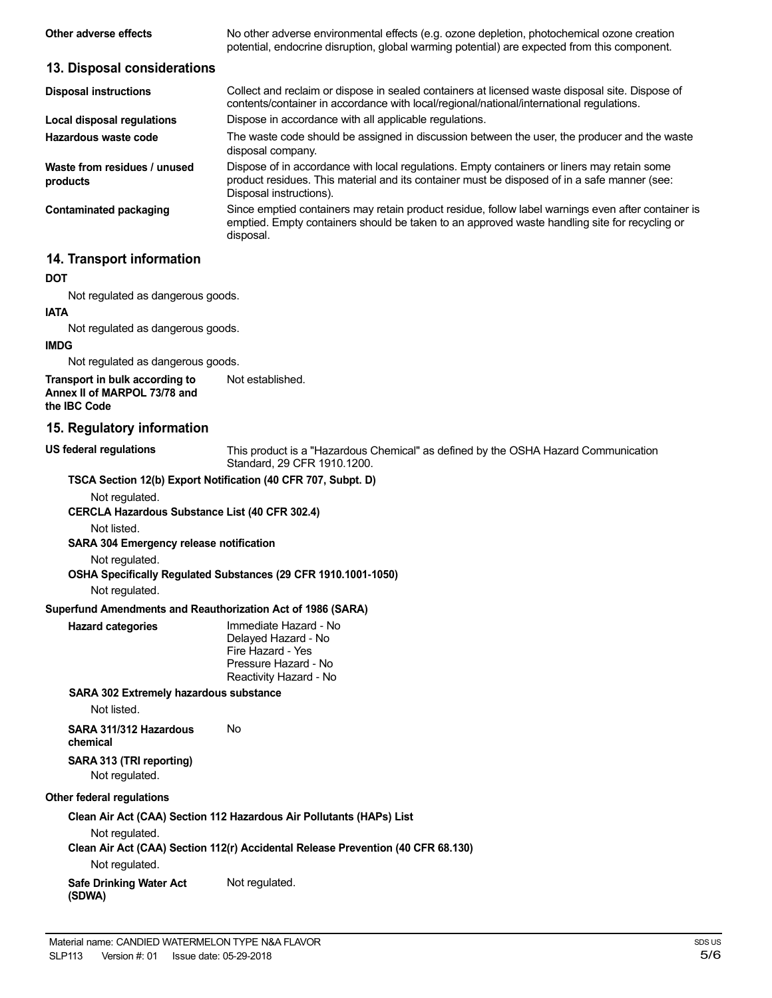| Other adverse effects                                                          | No other adverse environmental effects (e.g. ozone depletion, photochemical ozone creation<br>potential, endocrine disruption, global warming potential) are expected from this component.                             |
|--------------------------------------------------------------------------------|------------------------------------------------------------------------------------------------------------------------------------------------------------------------------------------------------------------------|
| 13. Disposal considerations                                                    |                                                                                                                                                                                                                        |
| <b>Disposal instructions</b>                                                   | Collect and reclaim or dispose in sealed containers at licensed waste disposal site. Dispose of<br>contents/container in accordance with local/regional/national/international regulations.                            |
| <b>Local disposal regulations</b>                                              | Dispose in accordance with all applicable regulations.                                                                                                                                                                 |
| Hazardous waste code                                                           | The waste code should be assigned in discussion between the user, the producer and the waste<br>disposal company.                                                                                                      |
| Waste from residues / unused<br>products                                       | Dispose of in accordance with local regulations. Empty containers or liners may retain some<br>product residues. This material and its container must be disposed of in a safe manner (see:<br>Disposal instructions). |
| <b>Contaminated packaging</b>                                                  | Since emptied containers may retain product residue, follow label warnings even after container is<br>emptied. Empty containers should be taken to an approved waste handling site for recycling or<br>disposal.       |
| 14. Transport information                                                      |                                                                                                                                                                                                                        |
| DOT                                                                            |                                                                                                                                                                                                                        |
| Not regulated as dangerous goods.                                              |                                                                                                                                                                                                                        |
| <b>IATA</b>                                                                    |                                                                                                                                                                                                                        |
| Not regulated as dangerous goods.                                              |                                                                                                                                                                                                                        |
| <b>IMDG</b>                                                                    |                                                                                                                                                                                                                        |
| Not regulated as dangerous goods.                                              |                                                                                                                                                                                                                        |
| Transport in bulk according to<br>Annex II of MARPOL 73/78 and<br>the IBC Code | Not established.                                                                                                                                                                                                       |
| 15. Regulatory information                                                     |                                                                                                                                                                                                                        |
| US federal regulations                                                         | This product is a "Hazardous Chemical" as defined by the OSHA Hazard Communication<br>Standard, 29 CFR 1910.1200.                                                                                                      |
| TSCA Section 12(b) Export Notification (40 CFR 707, Subpt. D)                  |                                                                                                                                                                                                                        |
| Not regulated.<br><b>CERCLA Hazardous Substance List (40 CFR 302.4)</b>        |                                                                                                                                                                                                                        |
| Not listed.<br>SARA 304 Emergency release notification                         |                                                                                                                                                                                                                        |
| Not regulated.<br>Not regulated.                                               | OSHA Specifically Regulated Substances (29 CFR 1910.1001-1050)                                                                                                                                                         |
| Superfund Amendments and Reauthorization Act of 1986 (SARA)                    |                                                                                                                                                                                                                        |
| <b>Hazard categories</b>                                                       | Immediate Hazard - No                                                                                                                                                                                                  |
|                                                                                | Delayed Hazard - No<br>Fire Hazard - Yes<br>Pressure Hazard - No<br>Reactivity Hazard - No                                                                                                                             |
| <b>SARA 302 Extremely hazardous substance</b>                                  |                                                                                                                                                                                                                        |
| Not listed.                                                                    |                                                                                                                                                                                                                        |
| SARA 311/312 Hazardous<br>chemical                                             | No                                                                                                                                                                                                                     |

#### **SARA 313 (TRI reporting)** Not regulated.

#### **Other federal regulations**

**Clean Air Act (CAA) Section 112 Hazardous Air Pollutants (HAPs) List**

Not regulated.

**Clean Air Act (CAA) Section 112(r) Accidental Release Prevention (40 CFR 68.130)**

Not regulated.

**Safe Drinking Water Act (SDWA)** Not regulated.